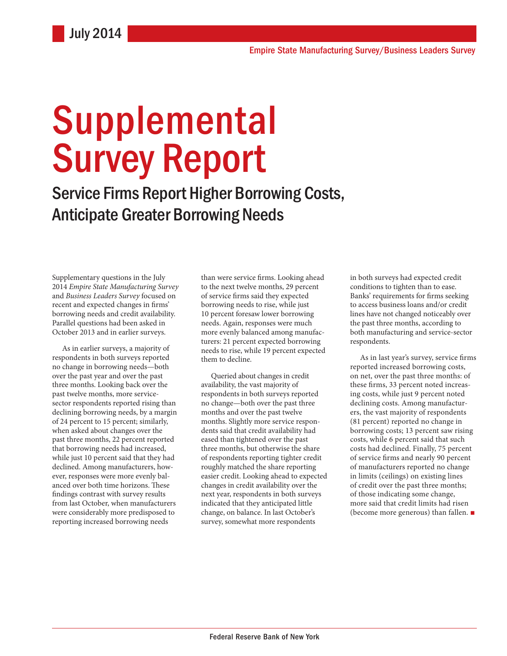# **Supplemental** Survey Report

Service Firms Report Higher Borrowing Costs, Anticipate Greater Borrowing Needs

Supplementary questions in the July 2014 *Empire State Manufacturing Survey*  and *Business Leaders Survey* focused on recent and expected changes in firms' borrowing needs and credit availability. Parallel questions had been asked in October 2013 and in earlier surveys.

As in earlier surveys, a majority of respondents in both surveys reported no change in borrowing needs—both over the past year and over the past three months. Looking back over the past twelve months, more servicesector respondents reported rising than declining borrowing needs, by a margin of 24 percent to 15 percent; similarly, when asked about changes over the past three months, 22 percent reported that borrowing needs had increased, while just 10 percent said that they had declined. Among manufacturers, however, responses were more evenly balanced over both time horizons. These findings contrast with survey results from last October, when manufacturers were considerably more predisposed to reporting increased borrowing needs

than were service firms. Looking ahead to the next twelve months, 29 percent of service firms said they expected borrowing needs to rise, while just 10 percent foresaw lower borrowing needs. Again, responses were much more evenly balanced among manufacturers: 21 percent expected borrowing needs to rise, while 19 percent expected them to decline.

Queried about changes in credit availability, the vast majority of respondents in both surveys reported no change—both over the past three months and over the past twelve months. Slightly more service respondents said that credit availability had eased than tightened over the past three months, but otherwise the share of respondents reporting tighter credit roughly matched the share reporting easier credit. Looking ahead to expected changes in credit availability over the next year, respondents in both surveys indicated that they anticipated little change, on balance. In last October's survey, somewhat more respondents

in both surveys had expected credit conditions to tighten than to ease. Banks' requirements for firms seeking to access business loans and/or credit lines have not changed noticeably over the past three months, according to both manufacturing and service-sector respondents.

As in last year's survey, service firms reported increased borrowing costs, on net, over the past three months: of these firms, 33 percent noted increasing costs, while just 9 percent noted declining costs. Among manufacturers, the vast majority of respondents (81 percent) reported no change in borrowing costs; 13 percent saw rising costs, while 6 percent said that such costs had declined. Finally, 75 percent of service firms and nearly 90 percent of manufacturers reported no change in limits (ceilings) on existing lines of credit over the past three months; of those indicating some change, more said that credit limits had risen (become more generous) than fallen. ■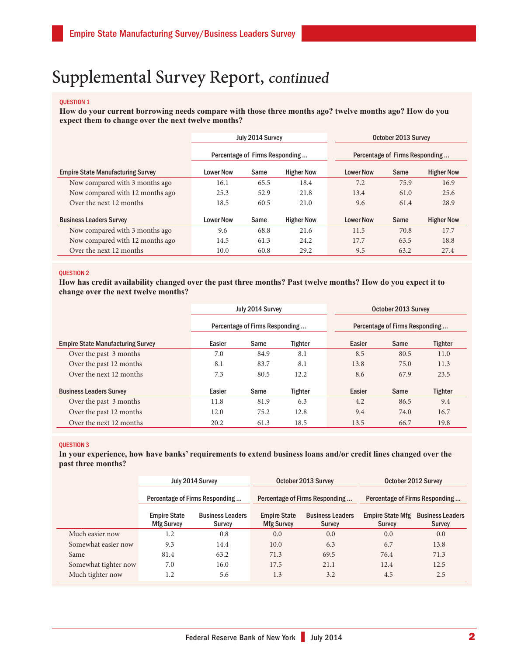### QUESTION 1

**How do your current borrowing needs compare with those three months ago? twelve months ago? How do you expect them to change over the next twelve months?** 

|                                          | July 2014 Survey               |                           |                   | October 2013 Survey            |      |                   |
|------------------------------------------|--------------------------------|---------------------------|-------------------|--------------------------------|------|-------------------|
|                                          | Percentage of Firms Responding |                           |                   | Percentage of Firms Responding |      |                   |
| <b>Empire State Manufacturing Survey</b> | <b>Lower Now</b>               | <b>Higher Now</b><br>Same |                   |                                | Same | <b>Higher Now</b> |
| Now compared with 3 months ago           | 16.1                           | 65.5                      | 18.4              | 7.2                            | 75.9 | 16.9              |
| Now compared with 12 months ago          | 25.3                           | 52.9                      | 21.8              | 13.4                           | 61.0 | 25.6              |
| Over the next 12 months                  | 18.5                           | 60.5                      | 21.0              | 9.6                            | 61.4 | 28.9              |
| <b>Business Leaders Survey</b>           | <b>Lower Now</b>               | Same                      | <b>Higher Now</b> | <b>Lower Now</b>               | Same | <b>Higher Now</b> |
| Now compared with 3 months ago           | 9.6                            | 68.8                      | 21.6              | 11.5                           | 70.8 | 17.7              |
| Now compared with 12 months ago          | 14.5                           | 61.3                      | 24.2              | 17.7                           | 63.5 | 18.8              |
| Over the next 12 months                  | 10.0                           | 60.8                      | 29.2              | 9.5                            | 63.2 | 27.4              |

### QUESTION 2

**How has credit availability changed over the past three months? Past twelve months? How do you expect it to change over the next twelve months?** 

|                                          | July 2014 Survey |                                |                | October 2013 Survey            |      |                |
|------------------------------------------|------------------|--------------------------------|----------------|--------------------------------|------|----------------|
|                                          |                  | Percentage of Firms Responding |                | Percentage of Firms Responding |      |                |
| <b>Empire State Manufacturing Survey</b> | Easier           | Same                           | <b>Tighter</b> | Easier                         | Same | <b>Tighter</b> |
| Over the past 3 months                   | 7.0              | 84.9                           | 8.1            | 8.5                            | 80.5 | 11.0           |
| Over the past 12 months                  | 8.1              | 83.7                           | 8.1            | 13.8                           | 75.0 | 11.3           |
| Over the next 12 months                  | 7.3              | 80.5                           | 12.2           | 8.6                            | 67.9 | 23.5           |
| <b>Business Leaders Survey</b>           | Easier           | Same                           | Tighter        | Easier                         | Same | Tighter        |
| Over the past 3 months                   | 11.8             | 81.9                           | 6.3            | 4.2                            | 86.5 | 9.4            |
| Over the past 12 months                  | 12.0             | 75.2                           | 12.8           | 9.4                            | 74.0 | 16.7           |
| Over the next 12 months                  | 20.2             | 61.3                           | 18.5           | 13.5                           | 66.7 | 19.8           |

### QUESTION 3

**In your experience, how have banks' requirements to extend business loans and/or credit lines changed over the past three months?** 

|                      | July 2014 Survey                         |                                   |                                          | October 2013 Survey                      | October 2012 Survey                      |                                          |
|----------------------|------------------------------------------|-----------------------------------|------------------------------------------|------------------------------------------|------------------------------------------|------------------------------------------|
|                      | Percentage of Firms Responding           |                                   | Percentage of Firms Responding           |                                          | Percentage of Firms Responding           |                                          |
|                      | <b>Empire State</b><br><b>Mfg Survey</b> | <b>Business Leaders</b><br>Survey | <b>Empire State</b><br><b>Mfg Survey</b> | <b>Business Leaders</b><br><b>Survey</b> | <b>Empire State Mfg</b><br><b>Survey</b> | <b>Business Leaders</b><br><b>Survey</b> |
| Much easier now      | 1.2                                      | 0.8                               | 0.0                                      | 0.0                                      | 0.0                                      | 0.0                                      |
| Somewhat easier now  | 9.3                                      | 14.4                              | 10.0                                     | 6.3                                      | 6.7                                      | 13.8                                     |
| Same                 | 81.4                                     | 63.2                              | 71.3                                     | 69.5                                     | 76.4                                     | 71.3                                     |
| Somewhat tighter now | 7.0                                      | 16.0                              | 17.5                                     | 21.1                                     | 12.4                                     | 12.5                                     |
| Much tighter now     | 1.2                                      | 5.6                               | 1.3                                      | 3.2                                      | 4.5                                      | 2.5                                      |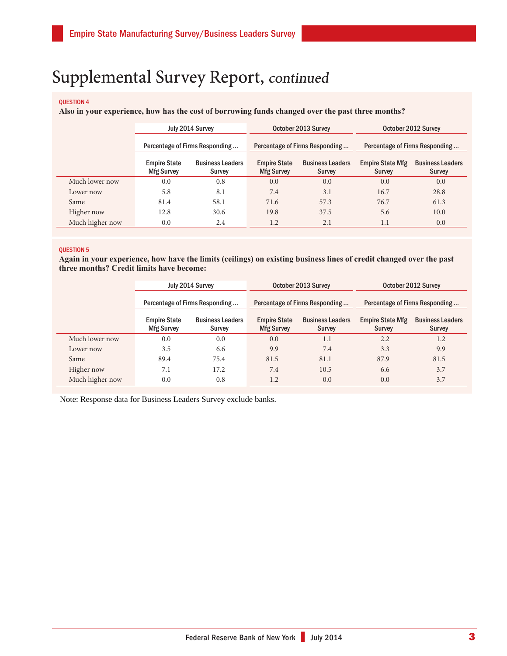### QUESTION 4

**Also in your experience, how has the cost of borrowing funds changed over the past three months?** 

|                 |                                          | July 2014 Survey                  |                                          | October 2013 Survey                      | October 2012 Survey               |                                   |
|-----------------|------------------------------------------|-----------------------------------|------------------------------------------|------------------------------------------|-----------------------------------|-----------------------------------|
|                 | Percentage of Firms Responding           |                                   | Percentage of Firms Responding           |                                          | Percentage of Firms Responding    |                                   |
|                 | <b>Empire State</b><br><b>Mfg Survey</b> | <b>Business Leaders</b><br>Survey | <b>Empire State</b><br><b>Mfg Survey</b> | <b>Business Leaders</b><br><b>Survey</b> | <b>Empire State Mfg</b><br>Survey | <b>Business Leaders</b><br>Survey |
| Much lower now  | 0.0                                      | 0.8                               | 0.0                                      | 0.0                                      | 0.0                               | 0.0                               |
| Lower now       | 5.8                                      | 8.1                               | 7.4                                      | 3.1                                      | 16.7                              | 28.8                              |
| Same            | 81.4                                     | 58.1                              | 71.6                                     | 57.3                                     | 76.7                              | 61.3                              |
| Higher now      | 12.8                                     | 30.6                              | 19.8                                     | 37.5                                     | 5.6                               | 10.0                              |
| Much higher now | 0.0                                      | 2.4                               | 1.2                                      | 2.1                                      | 1.1                               | 0.0                               |

### QUESTION 5

**Again in your experience, how have the limits (ceilings) on existing business lines of credit changed over the past three months? Credit limits have become:**

|                 |                                          | July 2014 Survey                  | October 2013 Survey                      |                                          | October 2012 Survey                      |                                          |
|-----------------|------------------------------------------|-----------------------------------|------------------------------------------|------------------------------------------|------------------------------------------|------------------------------------------|
|                 | Percentage of Firms Responding           |                                   |                                          | Percentage of Firms Responding           | Percentage of Firms Responding           |                                          |
|                 | <b>Empire State</b><br><b>Mfg Survey</b> | <b>Business Leaders</b><br>Survey | <b>Empire State</b><br><b>Mfg Survey</b> | <b>Business Leaders</b><br><b>Survey</b> | <b>Empire State Mfg</b><br><b>Survey</b> | <b>Business Leaders</b><br><b>Survey</b> |
| Much lower now  | 0.0                                      | 0.0                               | 0.0                                      | 1.1                                      | 2.2                                      | 1.2                                      |
| Lower now       | 3.5                                      | 6.6                               | 9.9                                      | 7.4                                      | 3.3                                      | 9.9                                      |
| Same            | 89.4                                     | 75.4                              | 81.5                                     | 81.1                                     | 87.9                                     | 81.5                                     |
| Higher now      | 7.1                                      | 17.2                              | 7.4                                      | 10.5                                     | 6.6                                      | 3.7                                      |
| Much higher now | 0.0                                      | 0.8                               | 1.2                                      | 0.0                                      | 0.0                                      | 3.7                                      |

Note: Response data for Business Leaders Survey exclude banks.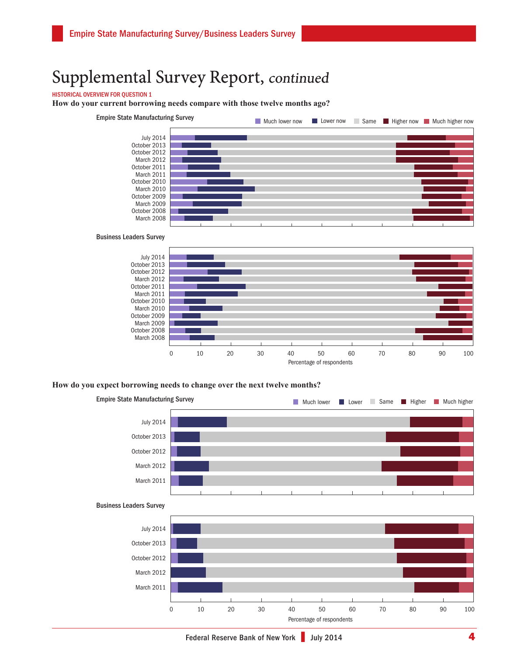### HISTORICAL OVERVIEW FOR QUESTION 1

**How do your current borrowing needs compare with those twelve months ago?**



#### Business Leaders Survey



### **How do you expect borrowing needs to change over the next twelve months?**